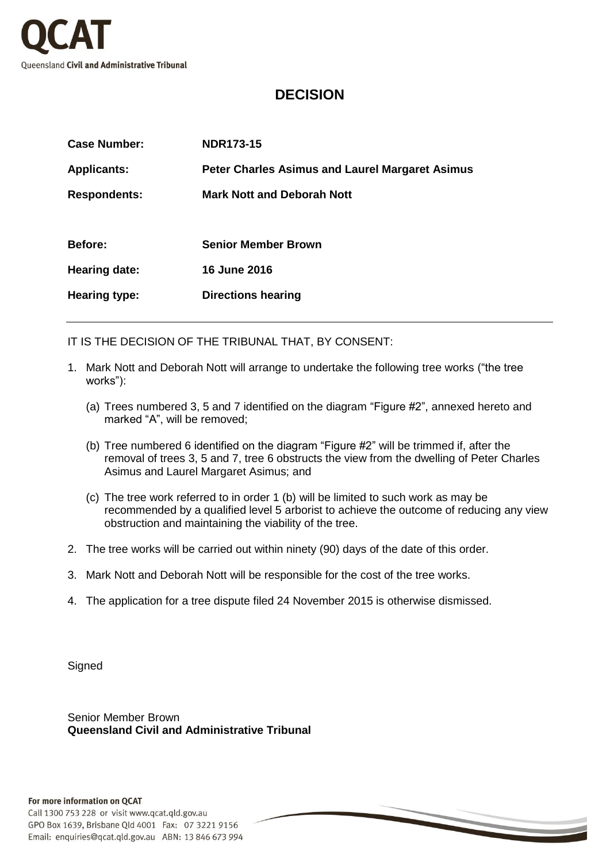

## **DECISION**

| <b>Case Number:</b>  | <b>NDR173-15</b>                                       |
|----------------------|--------------------------------------------------------|
| <b>Applicants:</b>   | <b>Peter Charles Asimus and Laurel Margaret Asimus</b> |
| <b>Respondents:</b>  | <b>Mark Nott and Deborah Nott</b>                      |
|                      |                                                        |
| Before:              | <b>Senior Member Brown</b>                             |
| <b>Hearing date:</b> | 16 June 2016                                           |
| <b>Hearing type:</b> | <b>Directions hearing</b>                              |
|                      |                                                        |

IT IS THE DECISION OF THE TRIBUNAL THAT, BY CONSENT:

- 1. Mark Nott and Deborah Nott will arrange to undertake the following tree works ("the tree works"):
	- (a) Trees numbered 3, 5 and 7 identified on the diagram "Figure #2", annexed hereto and marked "A", will be removed;
	- (b) Tree numbered 6 identified on the diagram "Figure #2" will be trimmed if, after the removal of trees 3, 5 and 7, tree 6 obstructs the view from the dwelling of Peter Charles Asimus and Laurel Margaret Asimus; and
	- (c) The tree work referred to in order 1 (b) will be limited to such work as may be recommended by a qualified level 5 arborist to achieve the outcome of reducing any view obstruction and maintaining the viability of the tree.
- 2. The tree works will be carried out within ninety (90) days of the date of this order.
- 3. Mark Nott and Deborah Nott will be responsible for the cost of the tree works.
- 4. The application for a tree dispute filed 24 November 2015 is otherwise dismissed.

**Signed** 

Senior Member Brown **Queensland Civil and Administrative Tribunal**